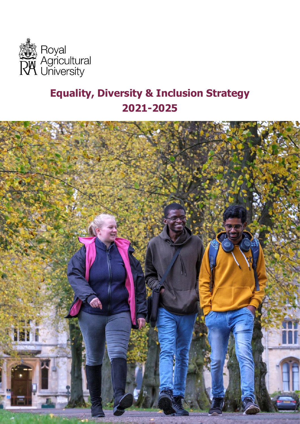

# **Equality, Diversity & Inclusion Strategy 2021-2025**

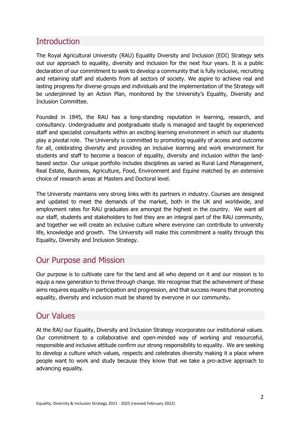# **Introduction**

 be underpinned by an Action Plan, monitored by the University's Equality, Diversity and The Royal Agricultural University (RAU) Equality Diversity and Inclusion (EDI) Strategy sets out our approach to equality, diversity and inclusion for the next four years. It is a public declaration of our commitment to seek to develop a community that is fully inclusive, recruiting and retaining staff and students from all sectors of society. We aspire to achieve real and lasting progress for diverse groups and individuals and the implementation of the Strategy will Inclusion Committee.

Founded in 1845, the RAU has a long-standing reputation in learning, research, and consultancy. Undergraduate and postgraduate study is managed and taught by experienced staff and specialist consultants within an exciting learning environment in which our students play a pivotal role. The University is committed to promoting equality of access and outcome for all, celebrating diversity and providing an inclusive learning and work environment for students and staff to become a beacon of equality, diversity and inclusion within the landbased sector. Our unique portfolio includes disciplines as varied as Rural Land Management, Real Estate, Business, Agriculture, Food, Environment and Equine matched by an extensive choice of research areas at Masters and Doctoral level.

The University maintains very strong links with its partners in industry. Courses are designed and updated to meet the demands of the market, both in the UK and worldwide, and employment rates for RAU graduates are amongst the highest in the country. We want all our staff, students and stakeholders to feel they are an integral part of the RAU community, and together we will create an inclusive culture where everyone can contribute to university life, knowledge and growth. The University will make this commitment a reality through this Equality, Diversity and Inclusion Strategy.

### Our Purpose and Mission

Our purpose is to cultivate care for the land and all who depend on it and our mission is to equip a new generation to thrive through change. We recognise that the achievement of these aims requires equality in participation and progression, and that success means that promoting equality, diversity and inclusion must be shared by everyone in our community**.** 

### Our Values

At the RAU our Equality, Diversity and Inclusion Strategy incorporates our institutional values. Our commitment to a collaborative and open-minded way of working and resourceful, responsible and inclusive attitude confirm our strong responsibility to equality. We are seeking to develop a culture which values, respects and celebrates diversity making it a place where people want to work and study because they know that we take a pro-active approach to advancing equality.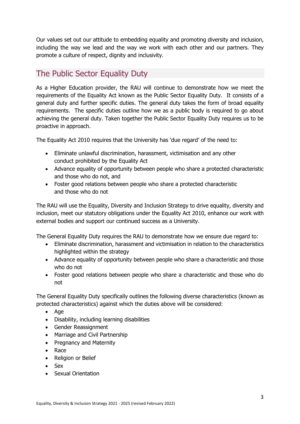Our values set out our attitude to embedding equality and promoting diversity and inclusion, including the way we lead and the way we work with each other and our partners. They promote a culture of respect, dignity and inclusivity.

# The Public Sector Equality Duty

As a Higher Education provider, the RAU will continue to demonstrate how we meet the requirements of the Equality Act known as the Public Sector Equality Duty. It consists of a general duty and further specific duties. The general duty takes the form of broad equality requirements. The specific duties outline how we as a public body is required to go about achieving the general duty. Taken together the Public Sector Equality Duty requires us to be proactive in approach.

The Equality Act 2010 requires that the University has 'due regard' of the need to:

- Eliminate unlawful discrimination, harassment, victimisation and any other conduct prohibited by the Equality Act
- Advance equality of opportunity between people who share a protected characteristic and those who do not, and
- Foster good relations between people who share a protected characteristic and those who do not

The RAU will use the Equality, Diversity and Inclusion Strategy to drive equality, diversity and inclusion, meet our statutory obligations under the Equality Act 2010, enhance our work with external bodies and support our continued success as a University.

The General Equality Duty requires the RAU to demonstrate how we ensure due regard to:

- Eliminate discrimination, harassment and victimisation in relation to the characteristics highlighted within the strategy
- Advance equality of opportunity between people who share a characteristic and those who do not
- Foster good relations between people who share a characteristic and those who do not

The General Equality Duty specifically outlines the following diverse characteristics (known as protected characteristics) against which the duties above will be considered:

- Age
- Disability, including learning disabilities
- Gender Reassignment
- Marriage and Civil Partnership
- Pregnancy and Maternity
- Race
- Religion or Belief
- Sex
- Sexual Orientation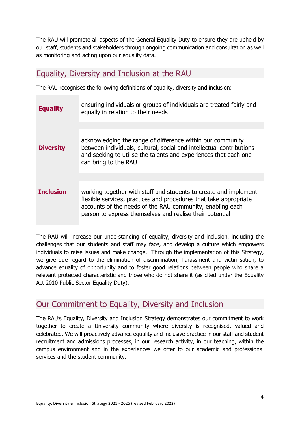The RAU will promote all aspects of the General Equality Duty to ensure they are upheld by our staff, students and stakeholders through ongoing communication and consultation as well as monitoring and acting upon our equality data.

# Equality, Diversity and Inclusion at the RAU

The RAU recognises the following definitions of equality, diversity and inclusion:

| <b>Equality</b>  | ensuring individuals or groups of individuals are treated fairly and<br>equally in relation to their needs                                                                                                                                                     |
|------------------|----------------------------------------------------------------------------------------------------------------------------------------------------------------------------------------------------------------------------------------------------------------|
|                  |                                                                                                                                                                                                                                                                |
| <b>Diversity</b> | acknowledging the range of difference within our community<br>between individuals, cultural, social and intellectual contributions<br>and seeking to utilise the talents and experiences that each one<br>can bring to the RAU                                 |
|                  |                                                                                                                                                                                                                                                                |
| <b>Inclusion</b> | working together with staff and students to create and implement<br>flexible services, practices and procedures that take appropriate<br>accounts of the needs of the RAU community, enabling each<br>person to express themselves and realise their potential |

The RAU will increase our understanding of equality, diversity and inclusion, including the challenges that our students and staff may face, and develop a culture which empowers individuals to raise issues and make change. Through the implementation of this Strategy, we give due regard to the elimination of discrimination, harassment and victimisation, to advance equality of opportunity and to foster good relations between people who share a relevant protected characteristic and those who do not share it (as cited under the Equality Act 2010 Public Sector Equality Duty).

## Our Commitment to Equality, Diversity and Inclusion

 The RAU's Equality, Diversity and Inclusion Strategy demonstrates our commitment to work together to create a University community where diversity is recognised, valued and celebrated. We will proactively advance equality and inclusive practice in our staff and student recruitment and admissions processes, in our research activity, in our teaching, within the campus environment and in the experiences we offer to our academic and professional services and the student community.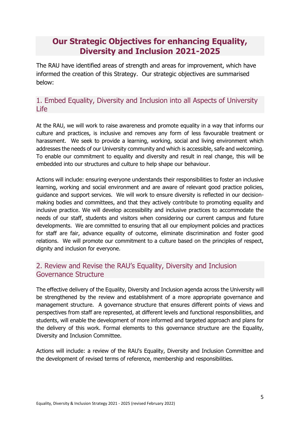# **Our Strategic Objectives for enhancing Equality, Diversity and Inclusion 2021-2025**

The RAU have identified areas of strength and areas for improvement, which have informed the creation of this Strategy. Our strategic objectives are summarised below:

#### 1. Embed Equality, Diversity and Inclusion into all Aspects of University Life

At the RAU, we will work to raise awareness and promote equality in a way that informs our culture and practices, is inclusive and removes any form of less favourable treatment or harassment. We seek to provide a learning, working, social and living environment which addresses the needs of our University community and which is accessible, safe and welcoming. To enable our commitment to equality and diversity and result in real change, this will be embedded into our structures and culture to help shape our behaviour.

Actions will include: ensuring everyone understands their responsibilities to foster an inclusive learning, working and social environment and are aware of relevant good practice policies, guidance and support services. We will work to ensure diversity is reflected in our decisionmaking bodies and committees, and that they actively contribute to promoting equality and inclusive practice. We will develop accessibility and inclusive practices to accommodate the needs of our staff, students and visitors when considering our current campus and future developments. We are committed to ensuring that all our employment policies and practices for staff are fair, advance equality of outcome, eliminate discrimination and foster good relations. We will promote our commitment to a culture based on the principles of respect, dignity and inclusion for everyone.

#### 2. Review and Revise the RAU's Equality, Diversity and Inclusion Governance Structure

The effective delivery of the Equality, Diversity and Inclusion agenda across the University will be strengthened by the review and establishment of a more appropriate governance and management structure. A governance structure that ensures different points of views and perspectives from staff are represented, at different levels and functional responsibilities, and students, will enable the development of more informed and targeted approach and plans for the delivery of this work. Formal elements to this governance structure are the Equality, Diversity and Inclusion Committee.

Actions will include: a review of the RAU's Equality, Diversity and Inclusion Committee and the development of revised terms of reference, membership and responsibilities.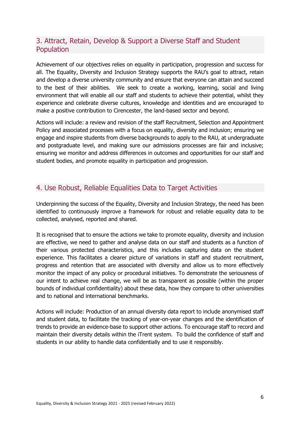#### 3. Attract, Retain, Develop & Support a Diverse Staff and Student **Population**

 all. The Equality, Diversity and Inclusion Strategy supports the RAU's goal to attract, retain Achievement of our objectives relies on equality in participation, progression and success for and develop a diverse university community and ensure that everyone can attain and succeed to the best of their abilities. We seek to create a working, learning, social and living environment that will enable all our staff and students to achieve their potential, whilst they experience and celebrate diverse cultures, knowledge and identities and are encouraged to make a positive contribution to Cirencester, the land-based sector and beyond.

Actions will include: a review and revision of the staff Recruitment, Selection and Appointment Policy and associated processes with a focus on equality, diversity and inclusion; ensuring we engage and inspire students from diverse backgrounds to apply to the RAU, at undergraduate and postgraduate level, and making sure our admissions processes are fair and inclusive; ensuring we monitor and address differences in outcomes and opportunities for our staff and student bodies, and promote equality in participation and progression.

#### 4. Use Robust, Reliable Equalities Data to Target Activities

Underpinning the success of the Equality, Diversity and Inclusion Strategy, the need has been identified to continuously improve a framework for robust and reliable equality data to be collected, analysed, reported and shared.

It is recognised that to ensure the actions we take to promote equality, diversity and inclusion are effective, we need to gather and analyse data on our staff and students as a function of their various protected characteristics, and this includes capturing data on the student experience. This facilitates a clearer picture of variations in staff and student recruitment, progress and retention that are associated with diversity and allow us to more effectively monitor the impact of any policy or procedural initiatives. To demonstrate the seriousness of our intent to achieve real change, we will be as transparent as possible (within the proper bounds of individual confidentiality) about these data, how they compare to other universities and to national and international benchmarks.

Actions will include: Production of an annual diversity data report to include anonymised staff and student data, to facilitate the tracking of year-on-year changes and the identification of trends to provide an evidence-base to support other actions. To encourage staff to record and maintain their diversity details within the iTrent system. To build the confidence of staff and students in our ability to handle data confidentially and to use it responsibly.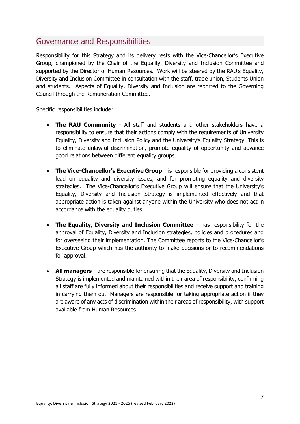## Governance and Responsibilities

 supported by the Director of Human Resources. Work will be steered by the RAU's Equality, Responsibility for this Strategy and its delivery rests with the Vice-Chancellor's Executive Group, championed by the Chair of the Equality, Diversity and Inclusion Committee and Diversity and Inclusion Committee in consultation with the staff, trade union, Students Union and students. Aspects of Equality, Diversity and Inclusion are reported to the Governing Council through the Remuneration Committee.

Specific responsibilities include:

- Equality, Diversity and Inclusion Policy and the University's Equality Strategy. This is • **The RAU Community** - All staff and students and other stakeholders have a responsibility to ensure that their actions comply with the requirements of University to eliminate unlawful discrimination, promote equality of opportunity and advance good relations between different equality groups.
- • **The Vice-Chancellor's Executive Group**  is responsible for providing a consistent strategies. The Vice-Chancellor's Executive Group will ensure that the University's lead on equality and diversity issues, and for promoting equality and diversity Equality, Diversity and Inclusion Strategy is implemented effectively and that appropriate action is taken against anyone within the University who does not act in accordance with the equality duties.
- **The Equality, Diversity and Inclusion Committee**  has responsibility for the approval of Equality, Diversity and Inclusion strategies, policies and procedures and for overseeing their implementation. The Committee reports to the Vice-Chancellor's Executive Group which has the authority to make decisions or to recommendations for approval.
- **All managers**  are responsible for ensuring that the Equality, Diversity and Inclusion Strategy is implemented and maintained within their area of responsibility, confirming all staff are fully informed about their responsibilities and receive support and training in carrying them out. Managers are responsible for taking appropriate action if they are aware of any acts of discrimination within their areas of responsibility, with support available from Human Resources.